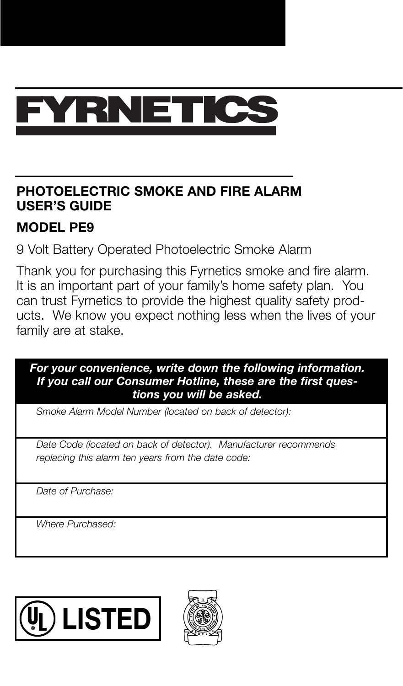

### **PHOTOELECTRIC SMOKE AND FIRE ALARM USER'S GUIDE**

#### **MODEL PE9**

9 Volt Battery Operated Photoelectric Smoke Alarm

Thank you for purchasing this Fyrnetics smoke and fire alarm. It is an important part of your family's home safety plan. You can trust Fyrnetics to provide the highest quality safety products. We know you expect nothing less when the lives of your family are at stake.

#### *For your convenience, write down the following information. If you call our Consumer Hotline, these are the first questions you will be asked.*

*Smoke Alarm Model Number (located on back of detector):*

*Date Code (located on back of detector). Manufacturer recommends replacing this alarm ten years from the date code:*

*Date of Purchase:*

*Where Purchased:*



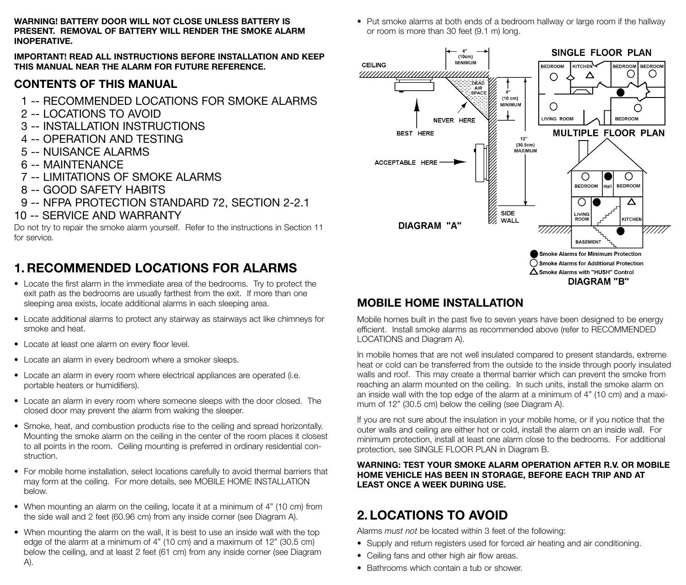**WARNING! BATTERY DOOR WILL NOT CLOSE UNLESS BATTERY IS PRESENT. REMOVAL OF BATTERY WILL RENDER THE SMOKE ALARM INOPERATIVE.**

**IMPORTANT! READ ALL INSTRUCTIONS BEFORE INSTALLATION AND KEEP THIS MANUAL NEAR THE ALARM FOR FUTURE REFERENCE.**

### **CONTENTS OF THIS MANUAL**

- 1 -- RECOMMENDED LOCATIONS FOR SMOKE ALARMS
- 2 -- LOCATIONS TO AVOID
- 3 -- INSTALLATION INSTRUCTIONS
- 4 -- OPERATION AND TESTING
- 5 -- NUISANCE ALARMS
- 6 -- MAINTENANCE
- 7 -- LIMITATIONS OF SMOKE ALARMS
- 8 -- GOOD SAFETY HABITS
- 9 -- NFPA PROTECTION STANDARD 72, SECTION 2-2.1
- 10 -- SERVICE AND WARRANTY

Do not try to repair the smoke alarm yourself. Refer to the instructions in Section 11 for service.

# **1. RECOMMENDED LOCATIONS FOR ALARMS**

- Locate the first alarm in the immediate area of the bedrooms. Try to protect the exit path as the bedrooms are usually farthest from the exit. If more than one sleeping area exists, locate additional alarms in each sleeping area.
- Locate additional alarms to protect any stairway as stairways act like chimneys for smoke and heat.
- Locate at least one alarm on every floor level.
- Locate an alarm in every bedroom where a smoker sleeps.
- Locate an alarm in every room where electrical appliances are operated (i.e. portable heaters or humidifiers).
- Locate an alarm in every room where someone sleeps with the door closed. The closed door may prevent the alarm from waking the sleeper.
- Smoke, heat, and combustion products rise to the ceiling and spread horizontally. Mounting the smoke alarm on the ceiling in the center of the room places it closest to all points in the room. Ceiling mounting is preferred in ordinary residential construction.
- For mobile home installation, select locations carefully to avoid thermal barriers that may form at the ceiling. For more details, see MOBILE HOME INSTALLATION below.
- When mounting an alarm on the ceiling, locate it at a minimum of 4" (10 cm) from the side wall and 2 feet (60.96 cm) from any inside corner (see Diagram A).
- When mounting the alarm on the wall, it is best to use an inside wall with the top edge of the alarm at a minimum of 4" (10 cm) and a maximum of 12" (30.5 cm) below the ceiling, and at least 2 feet (61 cm) from any inside corner (see Diagram A).

• Put smoke alarms at both ends of a bedroom hallway or large room if the hallway or room is more than 30 feet (9.1 m) long.



## **MOBILE HOME INSTALLATION**

Mobile homes built in the past five to seven years have been designed to be energy efficient. Install smoke alarms as recommended above (refer to RECOMMENDED LOCATIONS and Diagram A).

In mobile homes that are not well insulated compared to present standards, extreme heat or cold can be transferred from the outside to the inside through poorly insulated walls and roof. This may create a thermal barrier which can prevent the smoke from reaching an alarm mounted on the ceiling. In such units, install the smoke alarm on an inside wall with the top edge of the alarm at a minimum of 4" (10 cm) and a maximum of 12" (30.5 cm) below the ceiling (see Diagram A).

If you are not sure about the insulation in your mobile home, or if you notice that the outer walls and ceiling are either hot or cold, install the alarm on an inside wall. For minimum protection, install at least one alarm close to the bedrooms. For additional protection, see SINGLE FLOOR PLAN in Diagram B.

#### **WARNING: TEST YOUR SMOKE ALARM OPERATION AFTER R.V. OR MOBILE HOME VEHICLE HAS BEEN IN STORAGE, BEFORE EACH TRIP AND AT LEAST ONCE A WEEK DURING USE.**

# **2. LOCATIONS TO AVOID**

Alarms *must not* be located within 3 feet of the following:

- Supply and return registers used for forced air heating and air conditioning.
- Ceiling fans and other high air flow areas.
- Bathrooms which contain a tub or shower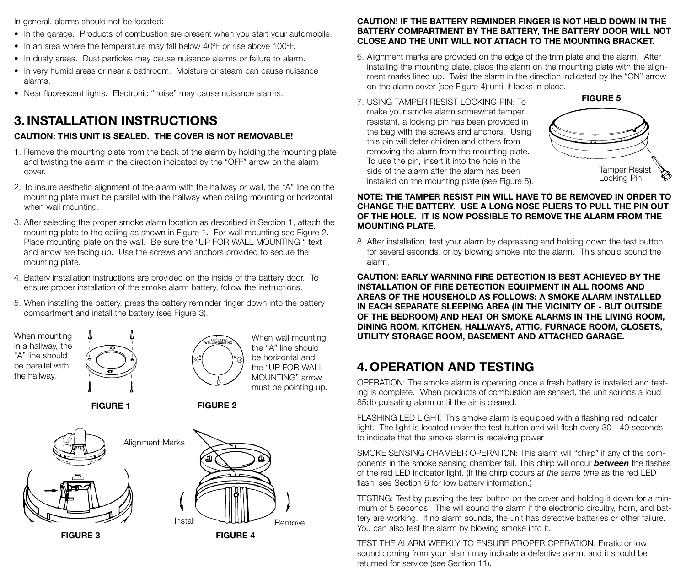In general, alarms should not be located:

- In the garage. Products of combustion are present when you start your automobile.
- In an area where the temperature may fall below 40ºF or rise above 100ºF.
- In dusty areas. Dust particles may cause nuisance alarms or failure to alarm.
- In very humid areas or near a bathroom. Moisture or steam can cause nuisance alarms.
- Near fluorescent lights. Electronic "noise" may cause nuisance alarms.

# **3. INSTALLATION INSTRUCTIONS**

### **CAUTION: THIS UNIT IS SEALED. THE COVER IS NOT REMOVABLE!**

- 1. Remove the mounting plate from the back of the alarm by holding the mounting plate and twisting the alarm in the direction indicated by the "OFF" arrow on the alarm cover.
- 2. To insure aesthetic alignment of the alarm with the hallway or wall, the "A" line on the mounting plate must be parallel with the hallway when ceiling mounting or horizontal when wall mounting.
- 3. After selecting the proper smoke alarm location as described in Section 1, attach the mounting plate to the ceiling as shown in Figure 1. For wall mounting see Figure 2. Place mounting plate on the wall. Be sure the "UP FOR WALL MOUNTING " text and arrow are facing up. Use the screws and anchors provided to secure the mounting plate.
- 4. Battery installation instructions are provided on the inside of the battery door. To ensure proper installation of the smoke alarm battery, follow the instructions.
- 5. When installing the battery, press the battery reminder finger down into the battery compartment and install the battery (see Figure 3).



#### **CAUTION! IF THE BATTERY REMINDER FINGER IS NOT HELD DOWN IN THE BATTERY COMPARTMENT BY THE BATTERY, THE BATTERY DOOR WILL NOT CLOSE AND THE UNIT WILL NOT ATTACH TO THE MOUNTING BRACKET.**

- 6. Alignment marks are provided on the edge of the trim plate and the alarm. After installing the mounting plate, place the alarm on the mounting plate with the alignment marks lined up. Twist the alarm in the direction indicated by the "ON" arrow on the alarm cover (see Figure 4) until it locks in place.
- 7. USING TAMPER RESIST LOCKING PIN: To make your smoke alarm somewhat tamper resistant, a locking pin has been provided in the bag with the screws and anchors. Using this pin will deter children and others from removing the alarm from the mounting plate. To use the pin, insert it into the hole in the side of the alarm after the alarm has been installed on the mounting plate (see Figure 5).



#### **NOTE: THE TAMPER RESIST PIN WILL HAVE TO BE REMOVED IN ORDER TO CHANGE THE BATTERY. USE A LONG NOSE PLIERS TO PULL THE PIN OUT OF THE HOLE. IT IS NOW POSSIBLE TO REMOVE THE ALARM FROM THE MOUNTING PLATE.**

8. After installation, test your alarm by depressing and holding down the test button for several seconds, or by blowing smoke into the alarm. This should sound the alarm.

**CAUTION! EARLY WARNING FIRE DETECTION IS BEST ACHIEVED BY THE INSTALLATION OF FIRE DETECTION EQUIPMENT IN ALL ROOMS AND AREAS OF THE HOUSEHOLD AS FOLLOWS: A SMOKE ALARM INSTALLED IN EACH SEPARATE SLEEPING AREA (IN THE VICINITY OF - BUT OUTSIDE OF THE BEDROOM) AND HEAT OR SMOKE ALARMS IN THE LIVING ROOM, DINING ROOM, KITCHEN, HALLWAYS, ATTIC, FURNACE ROOM, CLOSETS, UTILITY STORAGE ROOM, BASEMENT AND ATTACHED GARAGE.**

# **4. OPERATION AND TESTING**

OPERATION: The smoke alarm is operating once a fresh battery is installed and testing is complete. When products of combustion are sensed, the unit sounds a loud 85db pulsating alarm until the air is cleared.

FLASHING LED LIGHT: This smoke alarm is equipped with a flashing red indicator light. The light is located under the test button and will flash every 30 - 40 seconds to indicate that the smoke alarm is receiving power

SMOKE SENSING CHAMBER OPERATION: This alarm will "chirp" if any of the components in the smoke sensing chamber fail. This chirp will occur *between* the flashes of the red LED indicator light. (If the chirp occurs *at the same time* as the red LED flash, see Section 6 for low battery information.)

TESTING: Test by pushing the test button on the cover and holding it down for a minimum of 5 seconds. This will sound the alarm if the electronic circuitry, horn, and battery are working. If no alarm sounds, the unit has defective batteries or other failure. You can also test the alarm by blowing smoke into it.

TEST THE ALARM WEEKLY TO ENSURE PROPER OPERATION. Erratic or low sound coming from your alarm may indicate a defective alarm, and it should be returned for service (see Section 11).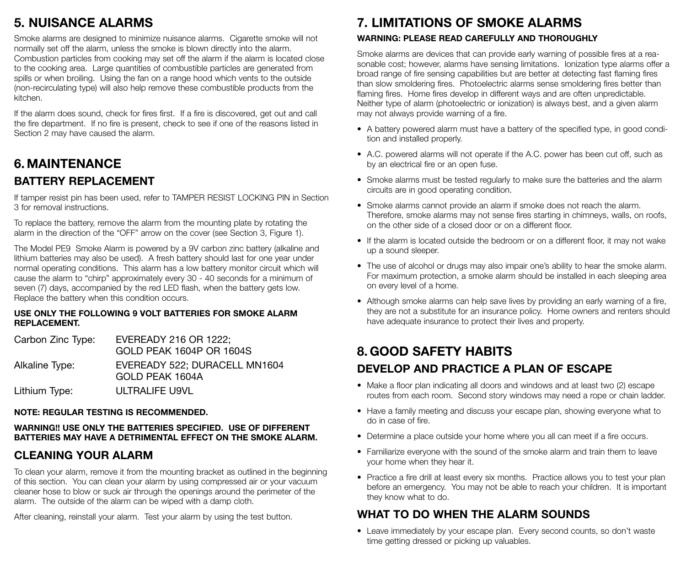# **5. NUISANCE ALARMS**

Smoke alarms are designed to minimize nuisance alarms. Cigarette smoke will not normally set off the alarm, unless the smoke is blown directly into the alarm. Combustion particles from cooking may set off the alarm if the alarm is located close to the cooking area. Large quantities of combustible particles are generated from spills or when broiling. Using the fan on a range hood which vents to the outside (non-recirculating type) will also help remove these combustible products from the kitchen.

If the alarm does sound, check for fires first. If a fire is discovered, get out and call the fire department. If no fire is present, check to see if one of the reasons listed in Section 2 may have caused the alarm.

# **6. MAINTENANCE BATTERY REPLACEMENT**

If tamper resist pin has been used, refer to TAMPER RESIST LOCKING PIN in Section 3 for removal instructions.

To replace the battery, remove the alarm from the mounting plate by rotating the alarm in the direction of the "OFF" arrow on the cover (see Section 3, Figure 1).

The Model PE9 Smoke Alarm is powered by a 9V carbon zinc battery (alkaline and lithium batteries may also be used). A fresh battery should last for one year under normal operating conditions. This alarm has a low battery monitor circuit which will cause the alarm to "chirp" approximately every 30 - 40 seconds for a minimum of seven (7) days, accompanied by the red LED flash, when the battery gets low. Replace the battery when this condition occurs.

#### **USE ONLY THE FOLLOWING 9 VOLT BATTERIES FOR SMOKE ALARM REPLACEMENT.**

| Carbon Zinc Type: | EVEREADY 216 OR 1222:<br>GOLD PEAK 1604P OR 1604S |
|-------------------|---------------------------------------------------|
| Alkaline Type:    | EVEREADY 522: DURACELL MN1604<br>GOLD PEAK 1604A  |
| Lithium Type:     | <b>ULTRALIFE U9VL</b>                             |

#### **NOTE: REGULAR TESTING IS RECOMMENDED.**

#### **WARNING!! USE ONLY THE BATTERIES SPECIFIED. USE OF DIFFERENT BATTERIES MAY HAVE A DETRIMENTAL EFFECT ON THE SMOKE ALARM.**

### **CLEANING YOUR ALARM**

To clean your alarm, remove it from the mounting bracket as outlined in the beginning of this section. You can clean your alarm by using compressed air or your vacuum cleaner hose to blow or suck air through the openings around the perimeter of the alarm. The outside of the alarm can be wiped with a damp cloth.

After cleaning, reinstall your alarm. Test your alarm by using the test button.

# **7. LIMITATIONS OF SMOKE ALARMS**

#### **WARNING: PLEASE READ CAREFULLY AND THOROUGHLY**

Smoke alarms are devices that can provide early warning of possible fires at a reasonable cost; however, alarms have sensing limitations. Ionization type alarms offer a broad range of fire sensing capabilities but are better at detecting fast flaming fires than slow smoldering fires. Photoelectric alarms sense smoldering fires better than flaming fires. Home fires develop in different ways and are often unpredictable. Neither type of alarm (photoelectric or ionization) is always best, and a given alarm may not always provide warning of a fire.

- A battery powered alarm must have a battery of the specified type, in good condition and installed properly.
- A.C. powered alarms will not operate if the A.C. power has been cut off, such as by an electrical fire or an open fuse.
- Smoke alarms must be tested regularly to make sure the batteries and the alarm circuits are in good operating condition.
- Smoke alarms cannot provide an alarm if smoke does not reach the alarm. Therefore, smoke alarms may not sense fires starting in chimneys, walls, on roofs, on the other side of a closed door or on a different floor.
- If the alarm is located outside the bedroom or on a different floor, it may not wake up a sound sleeper.
- The use of alcohol or drugs may also impair one's ability to hear the smoke alarm. For maximum protection, a smoke alarm should be installed in each sleeping area on every level of a home.
- Although smoke alarms can help save lives by providing an early warning of a fire, they are not a substitute for an insurance policy. Home owners and renters should have adequate insurance to protect their lives and property.

# **8. GOOD SAFETY HABITS DEVELOP AND PRACTICE A PLAN OF ESCAPE**

- Make a floor plan indicating all doors and windows and at least two (2) escape routes from each room. Second story windows may need a rope or chain ladder.
- Have a family meeting and discuss your escape plan, showing everyone what to do in case of fire.
- Determine a place outside your home where you all can meet if a fire occurs.
- Familiarize everyone with the sound of the smoke alarm and train them to leave your home when they hear it.
- Practice a fire drill at least every six months. Practice allows you to test your plan before an emergency. You may not be able to reach your children. It is important they know what to do.

### **WHAT TO DO WHEN THE ALARM SOUNDS**

• Leave immediately by your escape plan. Every second counts, so don't waste time getting dressed or picking up valuables.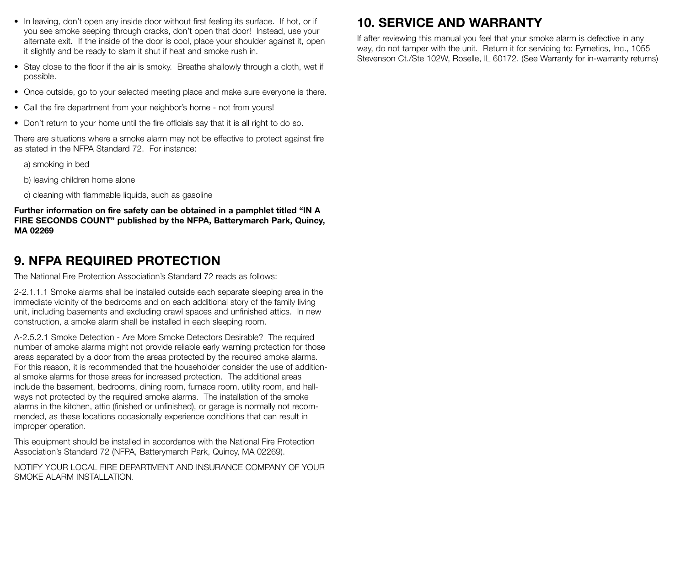- In leaving, don't open any inside door without first feeling its surface. If hot, or if you see smoke seeping through cracks, don't open that door! Instead, use your alternate exit. If the inside of the door is cool, place your shoulder against it, open it slightly and be ready to slam it shut if heat and smoke rush in.
- Stay close to the floor if the air is smoky. Breathe shallowly through a cloth, wet if possible.
- Once outside, go to your selected meeting place and make sure everyone is there.
- Call the fire department from your neighbor's home not from yours!
- Don't return to your home until the fire officials say that it is all right to do so.

There are situations where a smoke alarm may not be effective to protect against fire as stated in the NFPA Standard 72. For instance:

- a) smoking in bed
- b) leaving children home alone
- c) cleaning with flammable liquids, such as gasoline

**Further information on fire safety can be obtained in a pamphlet titled "IN A FIRE SECONDS COUNT" published by the NFPA, Batterymarch Park, Quincy, MA 02269**

### **9. NFPA REQUIRED PROTECTION**

The National Fire Protection Association's Standard 72 reads as follows:

2-2.1.1.1 Smoke alarms shall be installed outside each separate sleeping area in the immediate vicinity of the bedrooms and on each additional story of the family living unit, including basements and excluding crawl spaces and unfinished attics. In new construction, a smoke alarm shall be installed in each sleeping room.

A-2.5.2.1 Smoke Detection - Are More Smoke Detectors Desirable? The required number of smoke alarms might not provide reliable early warning protection for those areas separated by a door from the areas protected by the required smoke alarms. For this reason, it is recommended that the householder consider the use of additional smoke alarms for those areas for increased protection. The additional areas include the basement, bedrooms, dining room, furnace room, utility room, and hallways not protected by the required smoke alarms. The installation of the smoke alarms in the kitchen, attic (finished or unfinished), or garage is normally not recommended, as these locations occasionally experience conditions that can result in improper operation.

This equipment should be installed in accordance with the National Fire Protection Association's Standard 72 (NFPA, Batterymarch Park, Quincy, MA 02269).

NOTIFY YOUR LOCAL FIRE DEPARTMENT AND INSURANCE COMPANY OF YOUR SMOKE ALARM INSTALLATION.

# **10. SERVICE AND WARRANTY**

If after reviewing this manual you feel that your smoke alarm is defective in any way, do not tamper with the unit. Return it for servicing to: Fyrnetics, Inc., 1055 Stevenson Ct./Ste 102W, Roselle, IL 60172. (See Warranty for in-warranty returns)